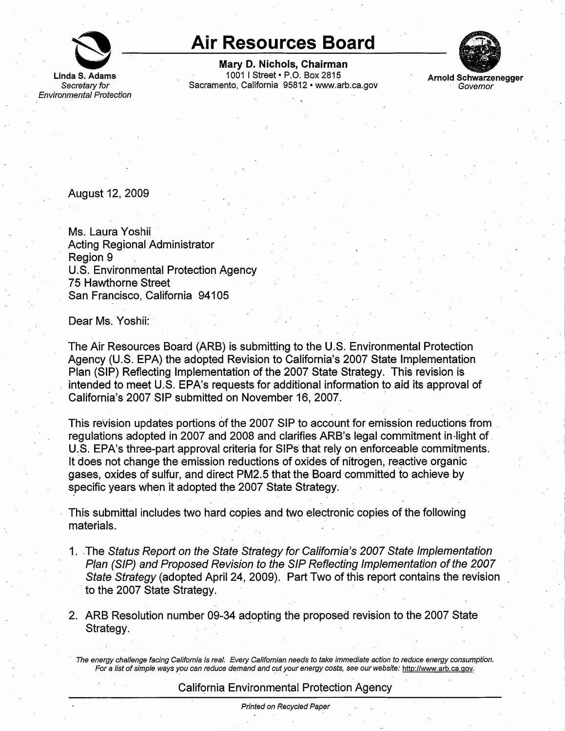

**Linda S. Adams**  Secretary for Environmental Protection

## **Air Resources Board**

**Mary D. Nichols, Chairman**  1001 I Street• P.O. Box 2815 Sacramento, California 95812 •<www.arb.ca.gov>



**Arnold Schwarzenegger Govemor** 

August 12, 2009

Ms. Laura Yoshii Acting Regional Administrator Region 9 U.S. Environmental Protection Agency 75 Hawthorne Street San Francisco, California 94105

Dear Ms. Yoshii:

The Air Resources Board (ARB) is submitting to the U.S. Environmental Protection Agency (U.S. EPA) the adopted Revision to California's 2007 State Implementation Plan (SIP) Reflecting Implementation of the 2007 State Strategy. This revision is intended to meet U.S. EPA's requests for additional information to aid its approval of California's 2007 SIP submitted on November 16, 2007.

This revision updates portions of the 2007 SIP to account for emission reductions from regulations adopted in 2007 and 2008 and clarifies ARB's legal commitment in-light of. U.S. EPA's three-part approval criteria for SIPs that rely on enforceable commitments. It does not change the emission reductions of oxides of nitrogen, reactive organic gases, oxides of sulfur, and direct PM2.5 that the Board committed to achieve by specific years when it adopted the 2007 State Strategy.

This submittal includes two hard copies and two electronic copies of the following materials.

- 1. The Status Report on the State Strategy for California's 2007 State Implementation Plan (SIP) and Proposed Revision to the SIP Reflecting Implementation of the 2007 State Strategy (adopted April 24, 2009). Part Two of this report contains the revision to the 2007 State Strategy.
- 2. ARB Resolution number 09-34 adopting the proposed revision to the 2007 State Strategy.

· The energy challenge facing California is real. Every Californian needs to take immediate action to reduce energy consumption. For a list of simple ways you can reduce demand and cut your energy costs, see our website: http://www.arb.ca.gov.

## California Environmental Protection Agency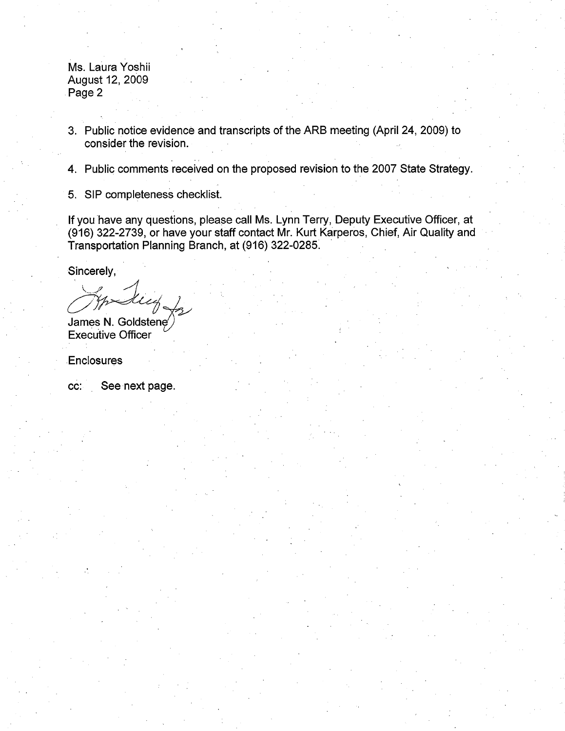Ms. Laura Yoshii August 12, 2009 . Page 2

- 3. Public notice evidence and transcripts of the ARB meeting (April 24, 2009) to consider the revision.
- 4. Public comments received on the proposed revision to the 2007 State Strategy.
- 5. SIP completeness checklist.

If you have any questions, please call Ms. Lynn Terry, Deputy Executive Officer, at (916) 322-2739, or have your staff contact Mr. Kurt Karperos, Chief, Air Quality and Transportation Planning Branch, at (916) 322-0285. ·

Sincerely,

(916) 322-2739, or have your staff contransportation Planning Branch, at (9)<br>Sincerely,<br>Sincerely,<br> $\sqrt{\frac{1}{2}}$ 

James N. Goldstene Executive Officer

.Enclosures

cc: See next page.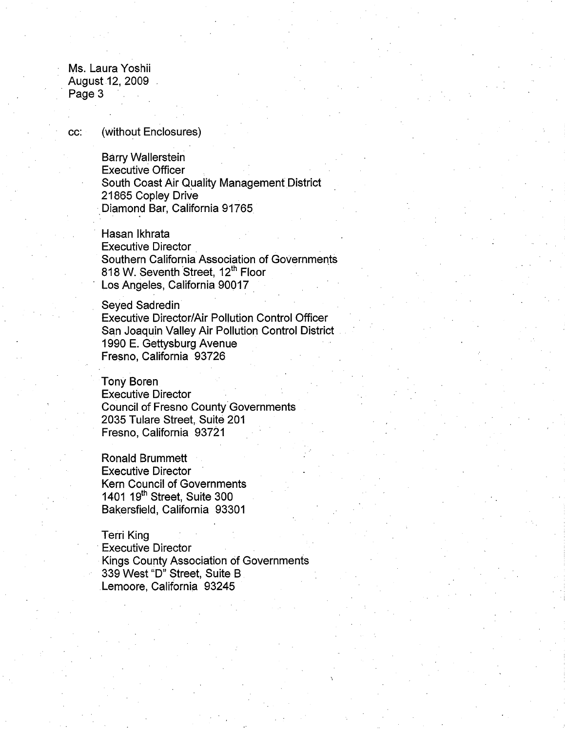Ms. Laura Yoshii · August 12, 2009 Page 3

cc: (without Enclosures)

**Barry Wallerstein** Executive Officer South Coast Air Quality Management District 21865 Copley Drive Diamond Bar, California 91765

Hasan lkhrata Executive Director . Southern California Association of Governments 818 W. Seventh Street, 12<sup>th</sup> Floor Los Angeles, California 90017

Seyed Sadredin Executive Director/Air Pollution Control Officer San Joaquin Valley Air Pollution Control District 1990 E. Gettysburg Avenue Fresno, California 93726

Tony Boren Executive Director Council of Fresno County Governments 2035 Tulare Street, Suite 201 Fresno, California 93721

Ronald Brummett Executive Director Kern Council of Governments 1401 19<sup>th</sup> Street, Suite 300 Bakersfield, California 93301

Terri King **Executive Director** Kings County Association of Governments 339 West "D" Street, Suite B Lemoore, California 93245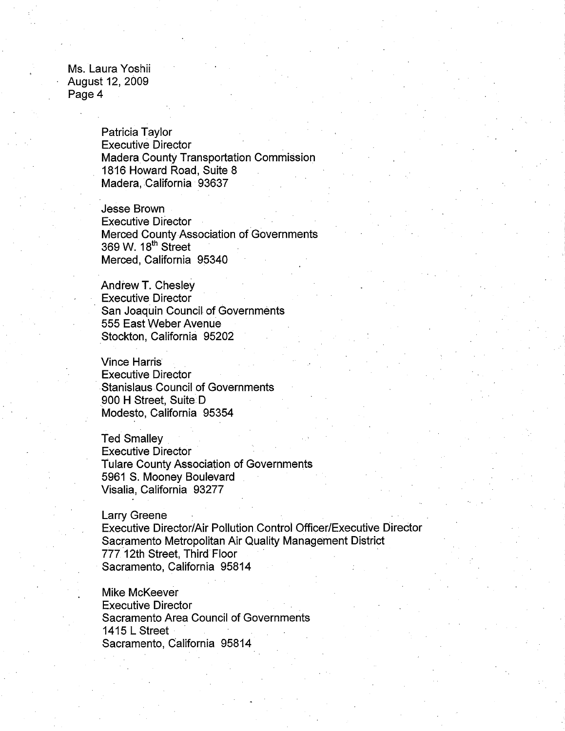Ms. Laura Yoshii August 12, 2009 Page 4

> Patricia Taylor Executive Director Madera County Transportation Commission 1816 Howard Road, Suite 8 Madera, California 93637

> Jesse Brown Executive Director Merced County Association of Governments 369 w. 18th Street . Merced, California 95340

Andrew T. Chesley Executive Director · San Joaquin Council of Governments 555 East Weber Avenue Stockton, California 95202

Vince Harris Executive Director Stanislaus Council of Governments 900 H Street, Suite D Modesto, California 95354

Ted Smalley Executive Director Tulare County Association of Governments 5961 S. Mooney Boulevard Visalia, California 93277

Larry Greene

Executive Director/Air Pollution Control Officer/Executive Director Sacramento Metropolitan Air Quality Management District 777 12th Street, Third Floor Sacramento, California 95814

Mike McKeever Executive Director Sacramento Area Council of Governments **1415 L Street** Sacramento, California 95814